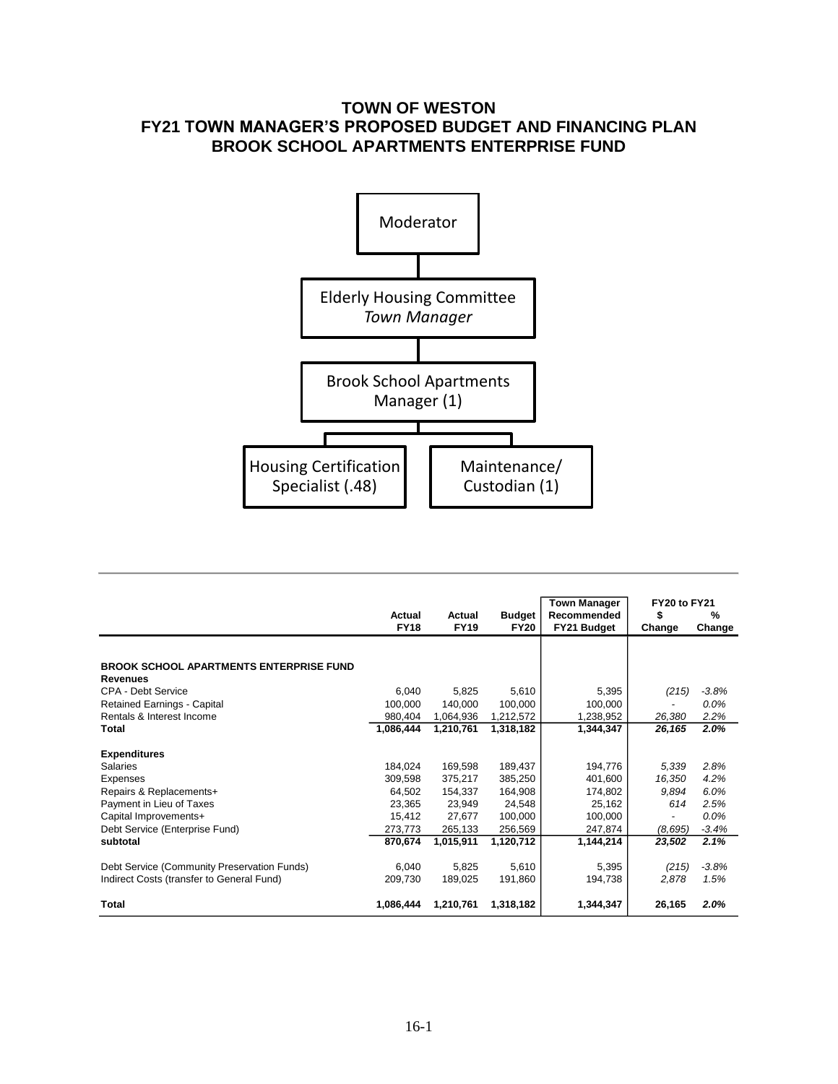# **TOWN OF WESTON FY21 TOWN MANAGER'S PROPOSED BUDGET AND FINANCING PLAN BROOK SCHOOL APARTMENTS ENTERPRISE FUND**



|                                                |             |             |               | <b>Town Manager</b> | FY20 to FY21   |         |  |
|------------------------------------------------|-------------|-------------|---------------|---------------------|----------------|---------|--|
|                                                | Actual      | Actual      | <b>Budget</b> | Recommended         | \$             | %       |  |
|                                                | <b>FY18</b> | <b>FY19</b> | <b>FY20</b>   | FY21 Budget         | Change         | Change  |  |
|                                                |             |             |               |                     |                |         |  |
| <b>BROOK SCHOOL APARTMENTS ENTERPRISE FUND</b> |             |             |               |                     |                |         |  |
| Revenues                                       |             |             |               |                     |                |         |  |
| CPA - Debt Service                             | 6.040       | 5,825       | 5,610         | 5,395               | (215)          | $-3.8%$ |  |
| <b>Retained Earnings - Capital</b>             | 100.000     | 140.000     | 100.000       | 100,000             |                | $0.0\%$ |  |
| Rentals & Interest Income                      | 980,404     | 1,064,936   | 1,212,572     | 1,238,952           | 26,380         | 2.2%    |  |
| Total                                          | 1,086,444   | 1,210,761   | 1,318,182     | 1,344,347           | 26,165         | 2.0%    |  |
|                                                |             |             |               |                     |                |         |  |
| <b>Expenditures</b>                            |             |             |               |                     |                |         |  |
| <b>Salaries</b>                                | 184.024     | 169.598     | 189.437       | 194.776             | 5,339          | 2.8%    |  |
| Expenses                                       | 309.598     | 375.217     | 385,250       | 401.600             | 16.350         | 4.2%    |  |
| Repairs & Replacements+                        | 64.502      | 154.337     | 164,908       | 174,802             | 9.894          | 6.0%    |  |
| Payment in Lieu of Taxes                       | 23.365      | 23.949      | 24.548        | 25,162              | 614            | 2.5%    |  |
| Capital Improvements+                          | 15.412      | 27.677      | 100,000       | 100.000             | $\overline{a}$ | 0.0%    |  |
| Debt Service (Enterprise Fund)                 | 273.773     | 265,133     | 256,569       | 247,874             | (8,695)        | $-3.4%$ |  |
| subtotal                                       | 870,674     | 1.015.911   | 1,120,712     | 1,144,214           | 23,502         | 2.1%    |  |
| Debt Service (Community Preservation Funds)    | 6.040       | 5,825       | 5,610         | 5,395               | (215)          | $-3.8%$ |  |
|                                                | 209.730     | 189.025     |               | 194,738             | 2,878          | 1.5%    |  |
| Indirect Costs (transfer to General Fund)      |             |             | 191,860       |                     |                |         |  |
| <b>Total</b>                                   | 1.086.444   | 1.210.761   | 1,318,182     | 1,344,347           | 26,165         | 2.0%    |  |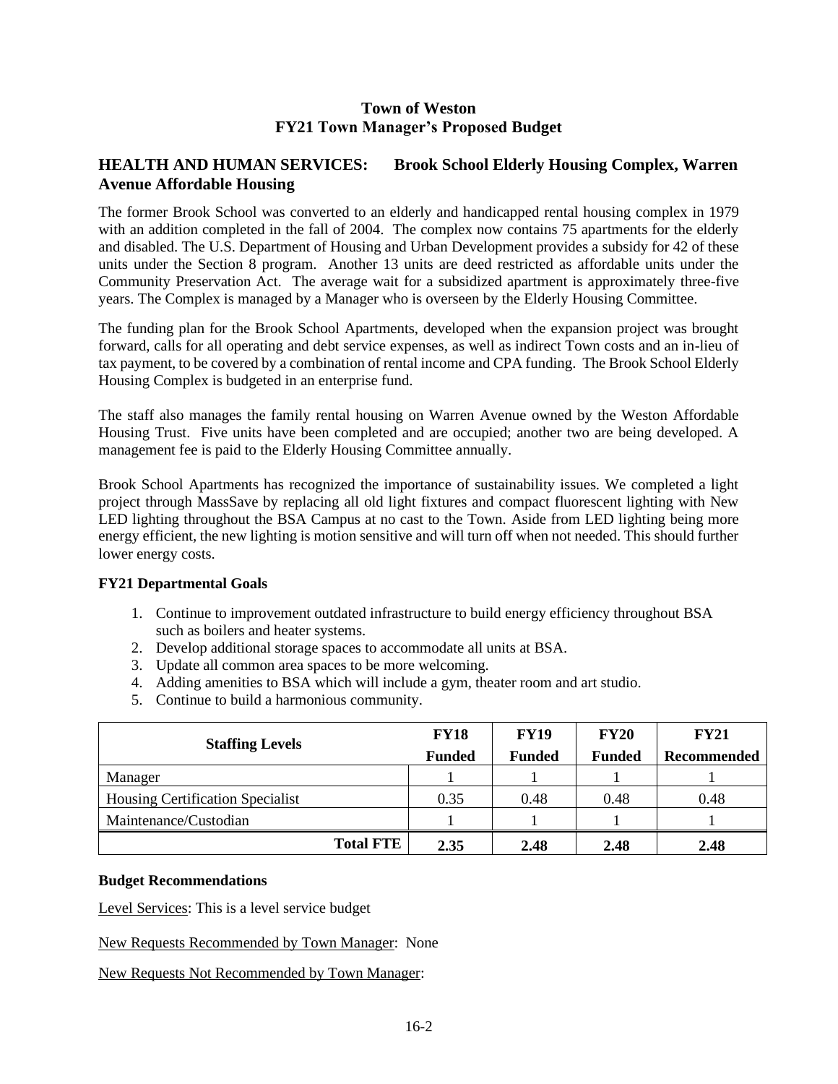### **Town of Weston FY21 Town Manager's Proposed Budget**

### **HEALTH AND HUMAN SERVICES: Brook School Elderly Housing Complex, Warren Avenue Affordable Housing**

The former Brook School was converted to an elderly and handicapped rental housing complex in 1979 with an addition completed in the fall of 2004. The complex now contains 75 apartments for the elderly and disabled. The U.S. Department of Housing and Urban Development provides a subsidy for 42 of these units under the Section 8 program. Another 13 units are deed restricted as affordable units under the Community Preservation Act. The average wait for a subsidized apartment is approximately three-five years. The Complex is managed by a Manager who is overseen by the Elderly Housing Committee.

The funding plan for the Brook School Apartments, developed when the expansion project was brought forward, calls for all operating and debt service expenses, as well as indirect Town costs and an in-lieu of tax payment, to be covered by a combination of rental income and CPA funding. The Brook School Elderly Housing Complex is budgeted in an enterprise fund.

The staff also manages the family rental housing on Warren Avenue owned by the Weston Affordable Housing Trust. Five units have been completed and are occupied; another two are being developed. A management fee is paid to the Elderly Housing Committee annually.

Brook School Apartments has recognized the importance of sustainability issues. We completed a light project through MassSave by replacing all old light fixtures and compact fluorescent lighting with New LED lighting throughout the BSA Campus at no cast to the Town. Aside from LED lighting being more energy efficient, the new lighting is motion sensitive and will turn off when not needed. This should further lower energy costs.

#### **FY21 Departmental Goals**

- 1. Continue to improvement outdated infrastructure to build energy efficiency throughout BSA such as boilers and heater systems.
- 2. Develop additional storage spaces to accommodate all units at BSA.
- 3. Update all common area spaces to be more welcoming.
- 4. Adding amenities to BSA which will include a gym, theater room and art studio.
- 5. Continue to build a harmonious community.

| <b>Staffing Levels</b>                  | <b>FY18</b>   | <b>FY19</b>   | <b>FY20</b>   | <b>FY21</b> |  |  |
|-----------------------------------------|---------------|---------------|---------------|-------------|--|--|
|                                         | <b>Funded</b> | <b>Funded</b> | <b>Funded</b> | Recommended |  |  |
| Manager                                 |               |               |               |             |  |  |
| <b>Housing Certification Specialist</b> | 0.35          | 0.48          | 0.48          | 0.48        |  |  |
| Maintenance/Custodian                   |               |               |               |             |  |  |
| <b>Total FTE</b>                        | 2.35          | 2.48          | 2.48          | 2.48        |  |  |

#### **Budget Recommendations**

Level Services: This is a level service budget

New Requests Recommended by Town Manager: None

New Requests Not Recommended by Town Manager: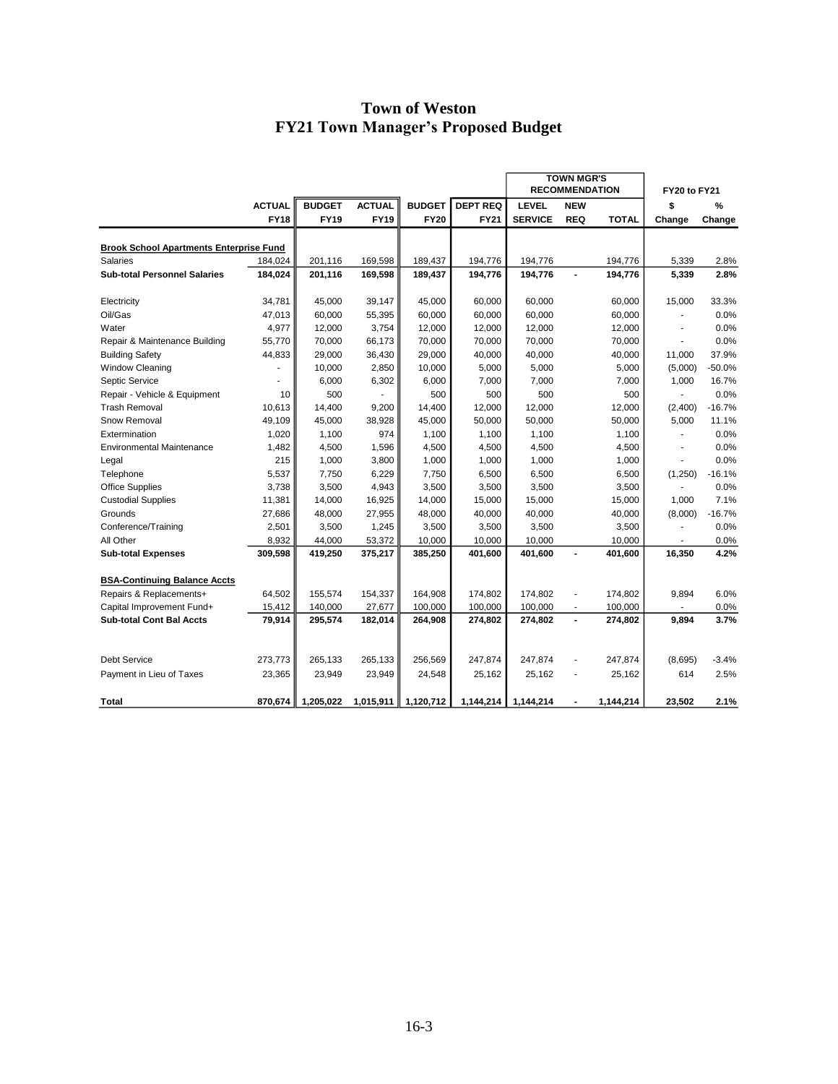# **Town of Weston FY21 Town Manager's Proposed Budget**

|                                                |               |               |               |               |                 | <b>TOWN MGR'S</b><br><b>RECOMMENDATION</b> |                          |              | <b>FY20 to FY21</b> |          |
|------------------------------------------------|---------------|---------------|---------------|---------------|-----------------|--------------------------------------------|--------------------------|--------------|---------------------|----------|
|                                                | <b>ACTUAL</b> | <b>BUDGET</b> | <b>ACTUAL</b> | <b>BUDGET</b> | <b>DEPT REQ</b> | <b>LEVEL</b>                               | <b>NEW</b>               |              | \$                  | %        |
|                                                | <b>FY18</b>   | <b>FY19</b>   | <b>FY19</b>   | <b>FY20</b>   | <b>FY21</b>     | <b>SERVICE</b>                             | <b>REQ</b>               | <b>TOTAL</b> | Change              | Change   |
|                                                |               |               |               |               |                 |                                            |                          |              |                     |          |
| <b>Brook School Apartments Enterprise Fund</b> |               |               |               |               |                 |                                            |                          |              |                     |          |
| <b>Salaries</b>                                | 184,024       | 201,116       | 169,598       | 189,437       | 194,776         | 194,776                                    |                          | 194,776      | 5,339               | 2.8%     |
| <b>Sub-total Personnel Salaries</b>            | 184,024       | 201,116       | 169,598       | 189,437       | 194,776         | 194,776                                    | $\blacksquare$           | 194,776      | 5,339               | 2.8%     |
| Electricity                                    | 34,781        | 45,000        | 39,147        | 45,000        | 60,000          | 60,000                                     |                          | 60,000       | 15,000              | 33.3%    |
| Oil/Gas                                        | 47,013        | 60,000        | 55,395        | 60,000        | 60,000          | 60,000                                     |                          | 60,000       |                     | 0.0%     |
| Water                                          | 4,977         | 12,000        | 3,754         | 12,000        | 12,000          | 12,000                                     |                          | 12,000       |                     | 0.0%     |
| Repair & Maintenance Building                  | 55,770        | 70,000        | 66,173        | 70,000        | 70,000          | 70,000                                     |                          | 70,000       |                     | 0.0%     |
| <b>Building Safety</b>                         | 44,833        | 29,000        | 36,430        | 29,000        | 40,000          | 40,000                                     |                          | 40,000       | 11,000              | 37.9%    |
| <b>Window Cleaning</b>                         |               | 10,000        | 2,850         | 10,000        | 5,000           | 5,000                                      |                          | 5,000        | (5,000)             | $-50.0%$ |
| Septic Service                                 |               | 6,000         | 6,302         | 6,000         | 7,000           | 7,000                                      |                          | 7,000        | 1,000               | 16.7%    |
| Repair - Vehicle & Equipment                   | 10            | 500           |               | 500           | 500             | 500                                        |                          | 500          |                     | 0.0%     |
| <b>Trash Removal</b>                           | 10,613        | 14,400        | 9,200         | 14,400        | 12,000          | 12,000                                     |                          | 12,000       | (2,400)             | $-16.7%$ |
| Snow Removal                                   | 49,109        | 45,000        | 38,928        | 45,000        | 50,000          | 50,000                                     |                          | 50,000       | 5,000               | 11.1%    |
| Extermination                                  | 1,020         | 1,100         | 974           | 1,100         | 1,100           | 1,100                                      |                          | 1,100        |                     | 0.0%     |
| <b>Environmental Maintenance</b>               | 1,482         | 4,500         | 1,596         | 4,500         | 4,500           | 4,500                                      |                          | 4,500        |                     | 0.0%     |
| Legal                                          | 215           | 1,000         | 3,800         | 1,000         | 1,000           | 1,000                                      |                          | 1,000        | ä,                  | 0.0%     |
| Telephone                                      | 5,537         | 7,750         | 6,229         | 7,750         | 6,500           | 6,500                                      |                          | 6,500        | (1,250)             | $-16.1%$ |
| <b>Office Supplies</b>                         | 3,738         | 3,500         | 4,943         | 3,500         | 3,500           | 3,500                                      |                          | 3,500        |                     | 0.0%     |
| <b>Custodial Supplies</b>                      | 11,381        | 14,000        | 16,925        | 14,000        | 15,000          | 15,000                                     |                          | 15,000       | 1,000               | 7.1%     |
| Grounds                                        | 27,686        | 48,000        | 27,955        | 48,000        | 40,000          | 40,000                                     |                          | 40,000       | (8,000)             | $-16.7%$ |
| Conference/Training                            | 2,501         | 3,500         | 1,245         | 3,500         | 3,500           | 3,500                                      |                          | 3,500        |                     | 0.0%     |
| All Other                                      | 8,932         | 44,000        | 53,372        | 10,000        | 10,000          | 10,000                                     |                          | 10,000       |                     | 0.0%     |
| <b>Sub-total Expenses</b>                      | 309,598       | 419,250       | 375,217       | 385,250       | 401,600         | 401,600                                    | $\blacksquare$           | 401,600      | 16,350              | 4.2%     |
| <b>BSA-Continuing Balance Accts</b>            |               |               |               |               |                 |                                            |                          |              |                     |          |
| Repairs & Replacements+                        | 64,502        | 155,574       | 154,337       | 164,908       | 174,802         | 174,802                                    | $\overline{\phantom{a}}$ | 174,802      | 9,894               | 6.0%     |
| Capital Improvement Fund+                      | 15,412        | 140,000       | 27,677        | 100,000       | 100,000         | 100,000                                    |                          | 100,000      |                     | 0.0%     |
| <b>Sub-total Cont Bal Accts</b>                | 79,914        | 295,574       | 182,014       | 264,908       | 274,802         | 274,802                                    | $\overline{a}$           | 274,802      | 9,894               | 3.7%     |
|                                                |               |               |               |               |                 |                                            |                          |              |                     |          |
| <b>Debt Service</b>                            | 273,773       | 265,133       | 265,133       | 256,569       | 247,874         | 247,874                                    | ÷,                       | 247,874      | (8,695)             | $-3.4%$  |
| Payment in Lieu of Taxes                       | 23,365        | 23,949        | 23,949        | 24,548        | 25,162          | 25,162                                     |                          | 25,162       | 614                 | 2.5%     |
| Total                                          | 870,674       | 1.205.022     | 1,015,911     | 1,120,712     | 1,144,214       | 1,144,214                                  |                          | 1,144,214    | 23.502              | 2.1%     |
|                                                |               |               |               |               |                 |                                            |                          |              |                     |          |